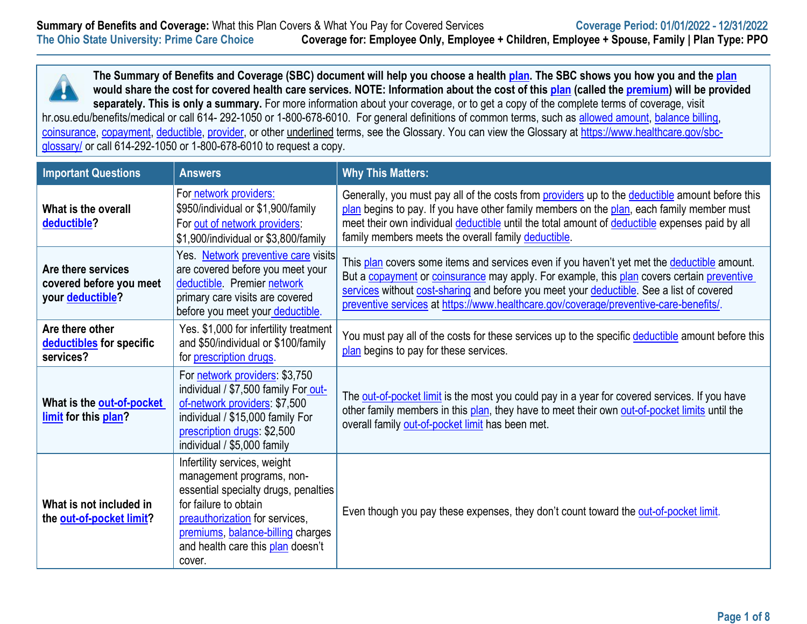

**The Summary of Benefits and Coverage (SBC) document will help you choose a health [plan.](https://www.healthcare.gov/sbc-glossary/#plan) The SBC shows you how you and the [plan](https://www.healthcare.gov/sbc-glossary/#plan) would share the cost for covered health care services. NOTE: Information about the cost of this [plan](https://www.healthcare.gov/sbc-glossary/#plan) (called the [premium\)](https://www.healthcare.gov/sbc-glossary/#premium) will be provided**  separately. This is only a summary. For more information about your coverage, or to get a copy of the complete terms of coverage, visit

hr.osu.edu/benefits/medical or call 614-292-1050 or 1-800-678-6010. For general definitions of common terms, such as [allowed amount,](https://www.healthcare.gov/sbc-glossary/#allowed-amount) [balance billing,](https://www.healthcare.gov/sbc-glossary/#balance-billing) [coinsurance,](https://www.healthcare.gov/sbc-glossary/#coinsurance) [copayment,](https://www.healthcare.gov/sbc-glossary/#copayment) [deductible,](https://www.healthcare.gov/sbc-glossary/#deductible) [provider,](https://www.healthcare.gov/sbc-glossary/#provider) or other underlined terms, see the Glossary. You can view the Glossary at [https://www.healthcare.gov/sbc](https://www.healthcare.gov/sbc-glossary/)[glossary/](https://www.healthcare.gov/sbc-glossary/) or call 614-292-1050 or 1-800-678-6010 to request a copy.

| <b>Important Questions</b>                                        | <b>Answers</b>                                                                                                                                                                                                                                   | <b>Why This Matters:</b>                                                                                                                                                                                                                                                                                                                                                       |
|-------------------------------------------------------------------|--------------------------------------------------------------------------------------------------------------------------------------------------------------------------------------------------------------------------------------------------|--------------------------------------------------------------------------------------------------------------------------------------------------------------------------------------------------------------------------------------------------------------------------------------------------------------------------------------------------------------------------------|
| What is the overall<br>deductible?                                | For network providers:<br>\$950/individual or \$1,900/family<br>For out of network providers:<br>\$1,900/individual or \$3,800/family                                                                                                            | Generally, you must pay all of the costs from providers up to the deductible amount before this<br>plan begins to pay. If you have other family members on the plan, each family member must<br>meet their own individual deductible until the total amount of deductible expenses paid by all<br>family members meets the overall family deductible.                          |
| Are there services<br>covered before you meet<br>your deductible? | Yes. Network preventive care visits<br>are covered before you meet your<br>deductible Premier network<br>primary care visits are covered<br>before you meet your deductible.                                                                     | This plan covers some items and services even if you haven't yet met the deductible amount.<br>But a copayment or coinsurance may apply. For example, this plan covers certain preventive<br>services without cost-sharing and before you meet your deductible. See a list of covered<br>preventive services at https://www.healthcare.gov/coverage/preventive-care-benefits/. |
| Are there other<br>deductibles for specific<br>services?          | Yes. \$1,000 for infertility treatment<br>and \$50/individual or \$100/family<br>for <i>prescription</i> drugs.                                                                                                                                  | You must pay all of the costs for these services up to the specific deductible amount before this<br>plan begins to pay for these services.                                                                                                                                                                                                                                    |
| What is the out-of-pocket<br>limit for this plan?                 | For network providers: \$3,750<br>individual / \$7,500 family For out-<br>of-network providers: \$7,500<br>individual / \$15,000 family For<br>prescription drugs: \$2,500<br>individual / \$5,000 family                                        | The out-of-pocket limit is the most you could pay in a year for covered services. If you have<br>other family members in this plan, they have to meet their own out-of-pocket limits until the<br>overall family out-of-pocket limit has been met.                                                                                                                             |
| What is not included in<br>the out-of-pocket limit?               | Infertility services, weight<br>management programs, non-<br>essential specialty drugs, penalties<br>for failure to obtain<br>preauthorization for services,<br>premiums, balance-billing charges<br>and health care this plan doesn't<br>cover. | Even though you pay these expenses, they don't count toward the out-of-pocket limit.                                                                                                                                                                                                                                                                                           |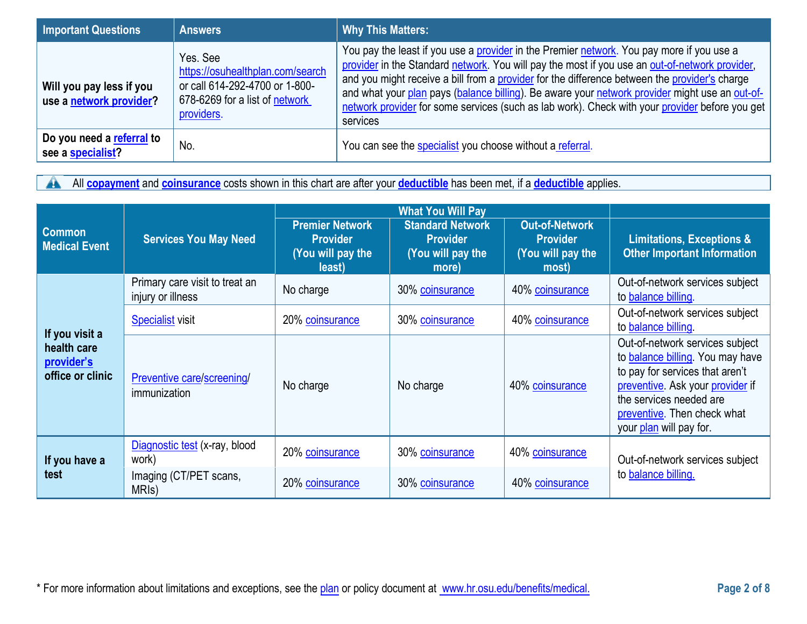| <b>Important Questions</b>                          | <b>Answers</b>                                                                                                                 | <b>Why This Matters:</b>                                                                                                                                                                                                                                                                                                                                                                                                                                                                                     |
|-----------------------------------------------------|--------------------------------------------------------------------------------------------------------------------------------|--------------------------------------------------------------------------------------------------------------------------------------------------------------------------------------------------------------------------------------------------------------------------------------------------------------------------------------------------------------------------------------------------------------------------------------------------------------------------------------------------------------|
| Will you pay less if you<br>use a network provider? | Yes, See<br>https://osuhealthplan.com/search<br>or call 614-292-4700 or 1-800-<br>678-6269 for a list of network<br>providers. | You pay the least if you use a provider in the Premier network. You pay more if you use a<br>provider in the Standard network. You will pay the most if you use an out-of-network provider,<br>and you might receive a bill from a provider for the difference between the provider's charge<br>and what your plan pays (balance billing). Be aware your network provider might use an out-of-<br>network provider for some services (such as lab work). Check with your provider before you get<br>services |
| Do you need a referral to<br>see a specialist?      | No.                                                                                                                            | You can see the specialist you choose without a referral.                                                                                                                                                                                                                                                                                                                                                                                                                                                    |

All **[copayment](https://www.healthcare.gov/sbc-glossary/#copayment)** and **[coinsurance](https://www.healthcare.gov/sbc-glossary/#coinsurance)** costs shown in this chart are after your **[deductible](https://www.healthcare.gov/sbc-glossary/#deductible)** has been met, if a **deductible** applies.

|                                               |                                                     | <b>What You Will Pay</b>                                                 |                                                                          |                                                                        |                                                                                                                                                                                                                                         |
|-----------------------------------------------|-----------------------------------------------------|--------------------------------------------------------------------------|--------------------------------------------------------------------------|------------------------------------------------------------------------|-----------------------------------------------------------------------------------------------------------------------------------------------------------------------------------------------------------------------------------------|
| <b>Common</b><br><b>Medical Event</b>         | <b>Services You May Need</b>                        | <b>Premier Network</b><br><b>Provider</b><br>(You will pay the<br>least) | <b>Standard Network</b><br><b>Provider</b><br>(You will pay the<br>more) | <b>Out-of-Network</b><br><b>Provider</b><br>(You will pay the<br>most) | <b>Limitations, Exceptions &amp;</b><br><b>Other Important Information</b>                                                                                                                                                              |
|                                               | Primary care visit to treat an<br>injury or illness | No charge                                                                | 30% coinsurance                                                          | 40% coinsurance                                                        | Out-of-network services subject<br>to balance billing.                                                                                                                                                                                  |
| If you visit a                                | <b>Specialist</b> visit                             | 20% coinsurance                                                          | 30% coinsurance                                                          | 40% coinsurance                                                        | Out-of-network services subject<br>to <b>balance</b> billing                                                                                                                                                                            |
| health care<br>provider's<br>office or clinic | Preventive care/screening/<br>immunization          | No charge                                                                | No charge                                                                | 40% coinsurance                                                        | Out-of-network services subject<br>to <b>balance billing</b> . You may have<br>to pay for services that aren't<br>preventive. Ask your provider if<br>the services needed are<br>preventive. Then check what<br>your plan will pay for. |
| If you have a<br>test                         | Diagnostic test (x-ray, blood<br>work)              | 20% coinsurance                                                          | 30% coinsurance                                                          | 40% coinsurance                                                        | Out-of-network services subject                                                                                                                                                                                                         |
|                                               | Imaging (CT/PET scans,<br>MRI <sub>s</sub> )        | 20% coinsurance                                                          | 30% coinsurance                                                          | 40% coinsurance                                                        | to <b>balance</b> billing.                                                                                                                                                                                                              |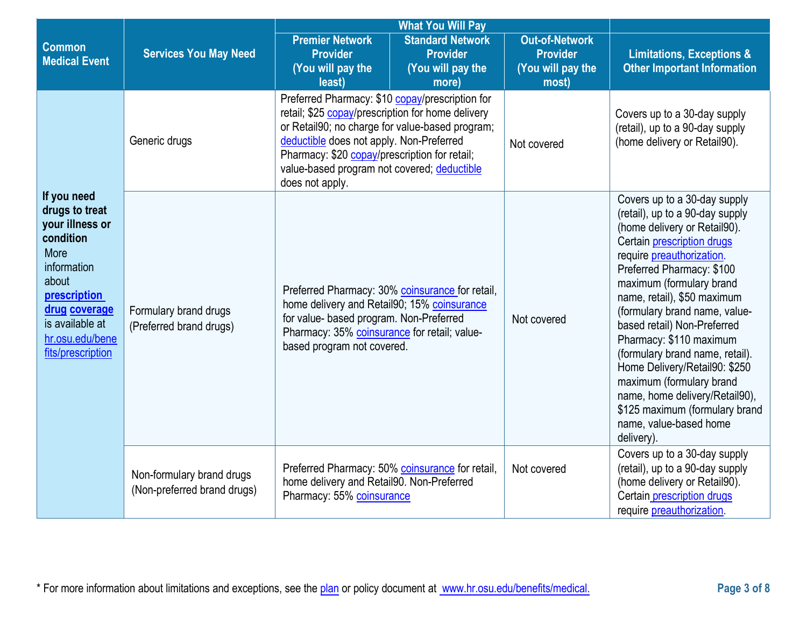|                                                                                                                                                                                           | <b>What You Will Pay</b>                                 |                                                                                                                                                                                                                                                                                                                        |                                                                          |                                                                        |                                                                                                                                                                                                                                                                                                                                                                                                                                                                                                                                                                   |
|-------------------------------------------------------------------------------------------------------------------------------------------------------------------------------------------|----------------------------------------------------------|------------------------------------------------------------------------------------------------------------------------------------------------------------------------------------------------------------------------------------------------------------------------------------------------------------------------|--------------------------------------------------------------------------|------------------------------------------------------------------------|-------------------------------------------------------------------------------------------------------------------------------------------------------------------------------------------------------------------------------------------------------------------------------------------------------------------------------------------------------------------------------------------------------------------------------------------------------------------------------------------------------------------------------------------------------------------|
| <b>Common</b><br><b>Medical Event</b>                                                                                                                                                     | <b>Services You May Need</b>                             | <b>Premier Network</b><br><b>Provider</b><br>(You will pay the<br>least)                                                                                                                                                                                                                                               | <b>Standard Network</b><br><b>Provider</b><br>(You will pay the<br>more) | <b>Out-of-Network</b><br><b>Provider</b><br>(You will pay the<br>most) | <b>Limitations, Exceptions &amp;</b><br><b>Other Important Information</b>                                                                                                                                                                                                                                                                                                                                                                                                                                                                                        |
|                                                                                                                                                                                           | Generic drugs                                            | Preferred Pharmacy: \$10 copay/prescription for<br>retail; \$25 copay/prescription for home delivery<br>or Retail90; no charge for value-based program;<br>deductible does not apply. Non-Preferred<br>Pharmacy: \$20 copay/prescription for retail;<br>value-based program not covered; deductible<br>does not apply. |                                                                          | Not covered                                                            | Covers up to a 30-day supply<br>(retail), up to a 90-day supply<br>(home delivery or Retail90).                                                                                                                                                                                                                                                                                                                                                                                                                                                                   |
| If you need<br>drugs to treat<br>your illness or<br>condition<br>More<br>information<br>about<br>prescription<br>drug coverage<br>is available at<br>hr.osu.edu/bene<br>fits/prescription | Formulary brand drugs<br>(Preferred brand drugs)         | Preferred Pharmacy: 30% coinsurance for retail,<br>home delivery and Retail90; 15% coinsurance<br>for value- based program. Non-Preferred<br>Pharmacy: 35% coinsurance for retail; value-<br>based program not covered.                                                                                                |                                                                          | Not covered                                                            | Covers up to a 30-day supply<br>(retail), up to a 90-day supply<br>(home delivery or Retail90).<br>Certain prescription drugs<br>require <i>preauthorization</i> .<br>Preferred Pharmacy: \$100<br>maximum (formulary brand<br>name, retail), \$50 maximum<br>(formulary brand name, value-<br>based retail) Non-Preferred<br>Pharmacy: \$110 maximum<br>(formulary brand name, retail).<br>Home Delivery/Retail90: \$250<br>maximum (formulary brand<br>name, home delivery/Retail90),<br>\$125 maximum (formulary brand<br>name, value-based home<br>delivery). |
|                                                                                                                                                                                           | Non-formulary brand drugs<br>(Non-preferred brand drugs) | Preferred Pharmacy: 50% coinsurance for retail,<br>home delivery and Retail90. Non-Preferred<br>Pharmacy: 55% coinsurance                                                                                                                                                                                              |                                                                          | Not covered                                                            | Covers up to a 30-day supply<br>(retail), up to a 90-day supply<br>(home delivery or Retail90).<br>Certain prescription drugs<br>require preauthorization.                                                                                                                                                                                                                                                                                                                                                                                                        |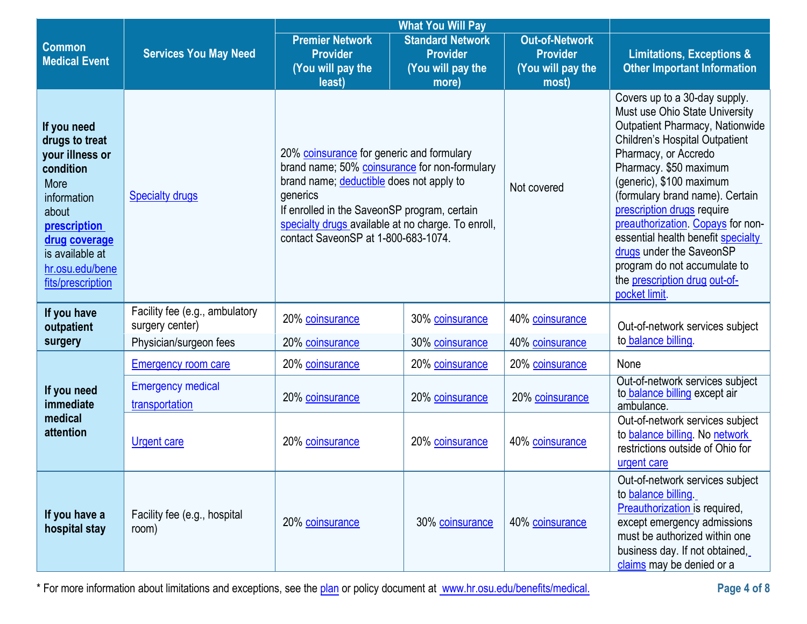|                                                                                                                                                                                                  |                                                   |                                                                                                                                                                                                                                                                                                 | <b>What You Will Pay</b>                                                 |                                                                        |                                                                                                                                                                                                                                                                                                                                                                                                                                                                                            |
|--------------------------------------------------------------------------------------------------------------------------------------------------------------------------------------------------|---------------------------------------------------|-------------------------------------------------------------------------------------------------------------------------------------------------------------------------------------------------------------------------------------------------------------------------------------------------|--------------------------------------------------------------------------|------------------------------------------------------------------------|--------------------------------------------------------------------------------------------------------------------------------------------------------------------------------------------------------------------------------------------------------------------------------------------------------------------------------------------------------------------------------------------------------------------------------------------------------------------------------------------|
| <b>Common</b><br><b>Medical Event</b>                                                                                                                                                            | <b>Services You May Need</b>                      | <b>Premier Network</b><br><b>Provider</b><br>(You will pay the<br>least)                                                                                                                                                                                                                        | <b>Standard Network</b><br><b>Provider</b><br>(You will pay the<br>more) | <b>Out-of-Network</b><br><b>Provider</b><br>(You will pay the<br>most) | <b>Limitations, Exceptions &amp;</b><br><b>Other Important Information</b>                                                                                                                                                                                                                                                                                                                                                                                                                 |
| If you need<br>drugs to treat<br>your illness or<br>condition<br>More<br>information<br>about<br><b>prescription</b><br>drug coverage<br>is available at<br>hr.osu.edu/bene<br>fits/prescription | <b>Specialty drugs</b>                            | 20% coinsurance for generic and formulary<br>brand name; 50% coinsurance for non-formulary<br>brand name; deductible does not apply to<br>generics<br>If enrolled in the SaveonSP program, certain<br>specialty drugs available at no charge. To enroll,<br>contact SaveonSP at 1-800-683-1074. |                                                                          | Not covered                                                            | Covers up to a 30-day supply.<br>Must use Ohio State University<br><b>Outpatient Pharmacy, Nationwide</b><br><b>Children's Hospital Outpatient</b><br>Pharmacy, or Accredo<br>Pharmacy. \$50 maximum<br>(generic), \$100 maximum<br>(formulary brand name). Certain<br>prescription drugs require<br>preauthorization. Copays for non-<br>essential health benefit specialty<br>drugs under the SaveonSP<br>program do not accumulate to<br>the prescription drug out-of-<br>pocket limit. |
| If you have<br>outpatient                                                                                                                                                                        | Facility fee (e.g., ambulatory<br>surgery center) | 20% coinsurance                                                                                                                                                                                                                                                                                 | 30% coinsurance                                                          | 40% coinsurance                                                        | Out-of-network services subject                                                                                                                                                                                                                                                                                                                                                                                                                                                            |
| surgery                                                                                                                                                                                          | Physician/surgeon fees                            | 20% coinsurance                                                                                                                                                                                                                                                                                 | 30% coinsurance                                                          | 40% coinsurance                                                        | to balance billing.                                                                                                                                                                                                                                                                                                                                                                                                                                                                        |
|                                                                                                                                                                                                  | <b>Emergency room care</b>                        | 20% coinsurance                                                                                                                                                                                                                                                                                 | 20% coinsurance                                                          | 20% coinsurance                                                        | None                                                                                                                                                                                                                                                                                                                                                                                                                                                                                       |
| If you need<br>immediate                                                                                                                                                                         | <b>Emergency medical</b><br>transportation        | 20% coinsurance                                                                                                                                                                                                                                                                                 | 20% coinsurance                                                          | 20% coinsurance                                                        | Out-of-network services subject<br>to balance billing except air<br>ambulance.                                                                                                                                                                                                                                                                                                                                                                                                             |
| medical<br>attention                                                                                                                                                                             | <b>Urgent care</b>                                | 20% coinsurance                                                                                                                                                                                                                                                                                 | 20% coinsurance                                                          | 40% coinsurance                                                        | Out-of-network services subject<br>to balance billing. No network<br>restrictions outside of Ohio for<br>urgent care                                                                                                                                                                                                                                                                                                                                                                       |
| If you have a<br>hospital stay                                                                                                                                                                   | Facility fee (e.g., hospital<br>room)             | 20% coinsurance                                                                                                                                                                                                                                                                                 | 30% coinsurance                                                          | 40% coinsurance                                                        | Out-of-network services subject<br>to <b>balance billing</b><br>Preauthorization is required,<br>except emergency admissions<br>must be authorized within one<br>business day. If not obtained,<br>claims may be denied or a                                                                                                                                                                                                                                                               |

\* For more information about limitations and exceptions, see the plan or policy document at www.hr.osu.edu/benefits/medical. **Page 4 of 8**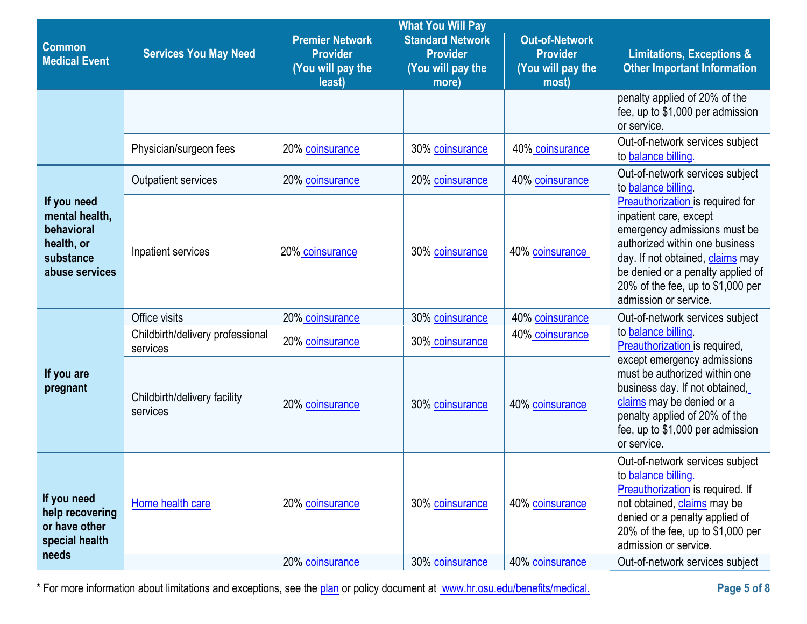|                                                                                          |                                              |                                                                          | <b>What You Will Pay</b>                                                 |                                                                        |                                                                                                                                                                                                                                                                     |
|------------------------------------------------------------------------------------------|----------------------------------------------|--------------------------------------------------------------------------|--------------------------------------------------------------------------|------------------------------------------------------------------------|---------------------------------------------------------------------------------------------------------------------------------------------------------------------------------------------------------------------------------------------------------------------|
| <b>Common</b><br><b>Medical Event</b>                                                    | <b>Services You May Need</b>                 | <b>Premier Network</b><br><b>Provider</b><br>(You will pay the<br>least) | <b>Standard Network</b><br><b>Provider</b><br>(You will pay the<br>more) | <b>Out-of-Network</b><br><b>Provider</b><br>(You will pay the<br>most) | <b>Limitations, Exceptions &amp;</b><br><b>Other Important Information</b>                                                                                                                                                                                          |
|                                                                                          |                                              |                                                                          |                                                                          |                                                                        | penalty applied of 20% of the<br>fee, up to \$1,000 per admission<br>or service.                                                                                                                                                                                    |
|                                                                                          | Physician/surgeon fees                       | 20% coinsurance                                                          | 30% coinsurance                                                          | 40% coinsurance                                                        | Out-of-network services subject<br>to balance billing.                                                                                                                                                                                                              |
|                                                                                          | <b>Outpatient services</b>                   | 20% coinsurance                                                          | 20% coinsurance                                                          | 40% coinsurance                                                        | Out-of-network services subject<br>to <b>balance</b> billing                                                                                                                                                                                                        |
| If you need<br>mental health,<br>behavioral<br>health, or<br>substance<br>abuse services | Inpatient services                           | 20% coinsurance                                                          | 30% coinsurance                                                          | 40% coinsurance                                                        | Preauthorization is required for<br>inpatient care, except<br>emergency admissions must be<br>authorized within one business<br>day. If not obtained, claims may<br>be denied or a penalty applied of<br>20% of the fee, up to \$1,000 per<br>admission or service. |
|                                                                                          | Office visits                                | 20% coinsurance                                                          | 30% coinsurance                                                          | 40% coinsurance                                                        | Out-of-network services subject                                                                                                                                                                                                                                     |
|                                                                                          | Childbirth/delivery professional<br>services | 20% coinsurance                                                          | 30% coinsurance                                                          | 40% coinsurance                                                        | to balance billing<br>Preauthorization is required,                                                                                                                                                                                                                 |
| If you are<br>pregnant                                                                   | Childbirth/delivery facility<br>services     | 20% coinsurance                                                          | 30% coinsurance                                                          | 40% coinsurance                                                        | except emergency admissions<br>must be authorized within one<br>business day. If not obtained,<br>claims may be denied or a<br>penalty applied of 20% of the<br>fee, up to \$1,000 per admission<br>or service.                                                     |
| If you need<br>help recovering<br>or have other<br>special health<br>needs               | Home health care                             | 20% coinsurance                                                          | 30% coinsurance                                                          | 40% coinsurance                                                        | Out-of-network services subject<br>to balance billing.<br>Preauthorization is required. If<br>not obtained, claims may be<br>denied or a penalty applied of<br>20% of the fee, up to $$1,000$ per<br>admission or service.                                          |
|                                                                                          |                                              | 20% coinsurance                                                          | 30% coinsurance                                                          | 40% coinsurance                                                        | Out-of-network services subject                                                                                                                                                                                                                                     |

\* For more information about limitations and exceptions, see the plan or policy document at www.hr.osu.edu/benefits/medical. **Page 5 of 8**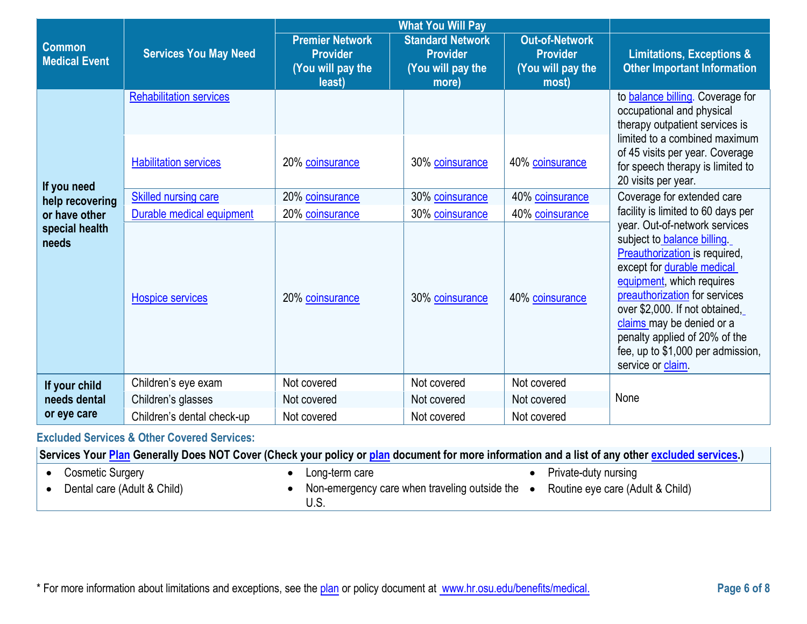|                                                 | <b>What You Will Pay</b>                                       |                                                                          |                                                                          |                                                                        |                                                                                                                                                                                                                                                                                                                                                    |
|-------------------------------------------------|----------------------------------------------------------------|--------------------------------------------------------------------------|--------------------------------------------------------------------------|------------------------------------------------------------------------|----------------------------------------------------------------------------------------------------------------------------------------------------------------------------------------------------------------------------------------------------------------------------------------------------------------------------------------------------|
| <b>Common</b><br><b>Medical Event</b>           | <b>Services You May Need</b>                                   | <b>Premier Network</b><br><b>Provider</b><br>(You will pay the<br>least) | <b>Standard Network</b><br><b>Provider</b><br>(You will pay the<br>more) | <b>Out-of-Network</b><br><b>Provider</b><br>(You will pay the<br>most) | <b>Limitations, Exceptions &amp;</b><br><b>Other Important Information</b>                                                                                                                                                                                                                                                                         |
|                                                 | <b>Rehabilitation services</b><br><b>Habilitation services</b> | 20% coinsurance                                                          | 30% coinsurance                                                          | 40% coinsurance                                                        | to <b>balance billing</b> . Coverage for<br>occupational and physical<br>therapy outpatient services is<br>limited to a combined maximum<br>of 45 visits per year. Coverage<br>for speech therapy is limited to                                                                                                                                    |
| If you need<br>help recovering<br>or have other | <b>Skilled nursing care</b><br>Durable medical equipment       | 20% coinsurance<br>20% coinsurance                                       | 30% coinsurance<br>30% coinsurance                                       | 40% coinsurance<br>40% coinsurance                                     | 20 visits per year.<br>Coverage for extended care<br>facility is limited to 60 days per                                                                                                                                                                                                                                                            |
| special health<br>needs                         | <b>Hospice services</b>                                        | 20% coinsurance                                                          | 30% coinsurance                                                          | 40% coinsurance                                                        | year. Out-of-network services<br>subject to balance billing<br>Preauthorization is required,<br>except for durable medical<br>equipment, which requires<br>preauthorization for services<br>over \$2,000. If not obtained,<br>claims may be denied or a<br>penalty applied of 20% of the<br>fee, up to \$1,000 per admission,<br>service or claim. |
| If your child                                   | Children's eye exam                                            | Not covered                                                              | Not covered                                                              | Not covered                                                            |                                                                                                                                                                                                                                                                                                                                                    |
| needs dental                                    | Children's glasses                                             | Not covered                                                              | Not covered                                                              | Not covered                                                            | None                                                                                                                                                                                                                                                                                                                                               |
| or eye care                                     | Children's dental check-up                                     | Not covered                                                              | Not covered                                                              | Not covered                                                            |                                                                                                                                                                                                                                                                                                                                                    |

**Excluded Services & Other Covered Services:** 

**Services Your [Plan](https://www.healthcare.gov/sbc-glossary/#plan) Generally Does NOT Cover (Check your policy or [plan](https://www.healthcare.gov/sbc-glossary/#plan) document for more information and a list of any other [excluded services.](https://www.healthcare.gov/sbc-glossary/#excluded-services))**

• Cosmetic Surgery

- 
- 

• Private-duty nursing

• Dental care (Adult & Child)

- Long-term care
- Non-emergency care when traveling outside the Routine eye care (Adult & Child) U.S.
-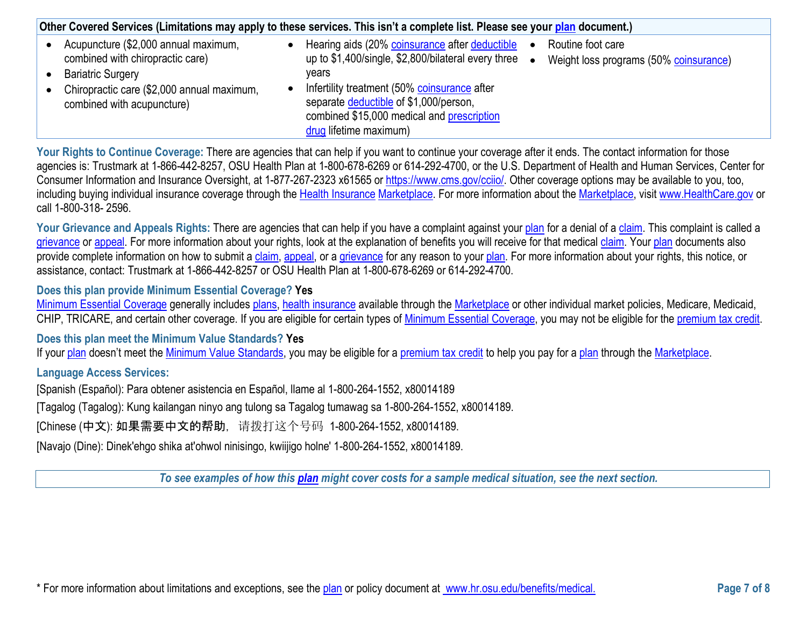|                                                                                                                                                                                  | Other Covered Services (Limitations may apply to these services. This isn't a complete list. Please see your plan document.)                                                                                                                                                                                                                    |  |  |  |  |
|----------------------------------------------------------------------------------------------------------------------------------------------------------------------------------|-------------------------------------------------------------------------------------------------------------------------------------------------------------------------------------------------------------------------------------------------------------------------------------------------------------------------------------------------|--|--|--|--|
| Acupuncture (\$2,000 annual maximum,<br>combined with chiropractic care)<br><b>Bariatric Surgery</b><br>Chiropractic care (\$2,000 annual maximum,<br>combined with acupuncture) | Hearing aids (20% coinsurance after deductible<br>Routine foot care<br>up to \$1,400/single, \$2,800/bilateral every three<br>Weight loss programs (50% coinsurance)<br>vears<br>Infertility treatment (50% coinsurance after<br>separate deductible of \$1,000/person,<br>combined \$15,000 medical and prescription<br>drug lifetime maximum) |  |  |  |  |

**Your Rights to Continue Coverage:** There are agencies that can help if you want to continue your coverage after it ends. The contact information for those agencies is: Trustmark at 1-866-442-8257, OSU Health Plan at 1-800-678-6269 or 614-292-4700, or the U.S. Department of Health and Human Services, Center for Consumer Information and Insurance Oversight, at 1-877-267-2323 x61565 or [https://www.cms.gov/cciio/.](https://www.cms.gov/cciio/) Other coverage options may be available to you, too, including buying individual insurance coverage through the [Health Insurance](https://www.healthcare.gov/sbc-glossary/#health-insurance) [Marketplace.](https://www.healthcare.gov/sbc-glossary/#marketplace) For more information about the [Marketplace,](https://www.healthcare.gov/sbc-glossary/#marketplace) visit [www.HealthCare.gov](http://www.healthcare.gov/) or call 1-800-318- 2596.

Your Grievance and Appeals Rights: There are agencies that can help if you have a complaint against your [plan](https://www.healthcare.gov/sbc-glossary/#plan) for a denial of a [claim.](https://www.healthcare.gov/sbc-glossary/#claim) This complaint is called a [grievance](https://www.healthcare.gov/sbc-glossary/#grievance) or [appeal.](https://www.healthcare.gov/sbc-glossary/#appeal) For more information about your rights, look at the explanation of benefits you will receive for that medical [claim.](https://www.healthcare.gov/sbc-glossary/#claim) Your [plan](https://www.healthcare.gov/sbc-glossary/#plan) documents also provide complete information on how to submit a [claim,](https://www.healthcare.gov/sbc-glossary/#claim) [appeal,](https://www.healthcare.gov/sbc-glossary/#appeal) or a [grievance](https://www.healthcare.gov/sbc-glossary/#grievance) for any reason to your [plan.](https://www.healthcare.gov/sbc-glossary/#plan) For more information about your rights, this notice, or assistance, contact: Trustmark at 1-866-442-8257 or OSU Health Plan at 1-800-678-6269 or 614-292-4700.

## **Does this plan provide Minimum Essential Coverage? Yes**

[Minimum Essential Coverage](https://www.healthcare.gov/sbc-glossary/#minimum-essential-coverage) generally includes [plans,](https://www.healthcare.gov/sbc-glossary/#plan) [health insurance](https://www.healthcare.gov/sbc-glossary/#health-insurance) available through the [Marketplace](https://www.healthcare.gov/sbc-glossary/#marketplace) or other individual market policies, Medicare, Medicaid, CHIP, TRICARE, and certain other coverage. If you are eligible for certain types of [Minimum Essential Coverage,](https://www.healthcare.gov/sbc-glossary/#minimum-essential-coverage) you may not be eligible for the [premium tax credit.](https://www.healthcare.gov/sbc-glossary/#premium-tax-credits)

**Does this plan meet the Minimum Value Standards? Yes**

If your [plan](https://www.healthcare.gov/sbc-glossary/#plan) doesn't meet the [Minimum Value Standards,](https://www.healthcare.gov/sbc-glossary/#minimum-value-standard) you may be eligible for a [premium tax credit](https://www.healthcare.gov/sbc-glossary/#premium-tax-credits) to help you pay for a plan through the [Marketplace.](https://www.healthcare.gov/sbc-glossary/#marketplace)

## **Language Access Services:**

[Spanish (Español): Para obtener asistencia en Español, llame al 1-800-264-1552, x80014189

[Tagalog (Tagalog): Kung kailangan ninyo ang tulong sa Tagalog tumawag sa 1-800-264-1552, x80014189.

[Chinese (中文): 如果需要中文的帮助, 请拨打这个号码 1-800-264-1552, x80014189.

[Navajo (Dine): Dinek'ehgo shika at'ohwol ninisingo, kwiijigo holne' 1-800-264-1552, x80014189.

*To see examples of how this [plan](https://www.healthcare.gov/sbc-glossary/#plan) might cover costs for a sample medical situation, see the next section.*